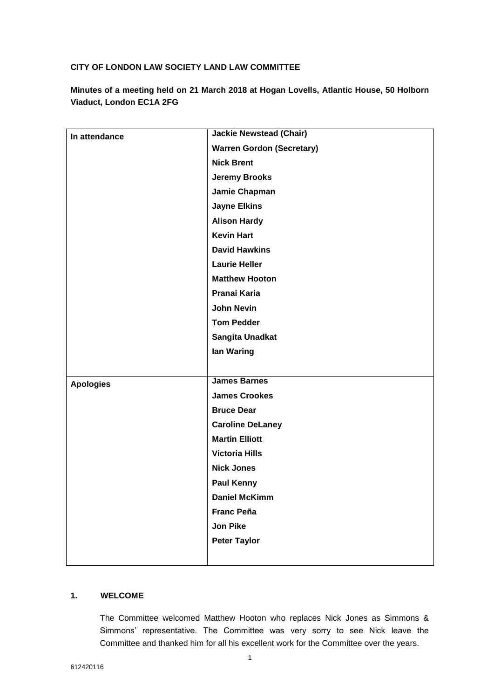## **CITY OF LONDON LAW SOCIETY LAND LAW COMMITTEE**

**Minutes of a meeting held on 21 March 2018 at Hogan Lovells, Atlantic House, 50 Holborn Viaduct, London EC1A 2FG**

| In attendance    | <b>Jackie Newstead (Chair)</b>   |
|------------------|----------------------------------|
|                  | <b>Warren Gordon (Secretary)</b> |
|                  | <b>Nick Brent</b>                |
|                  | <b>Jeremy Brooks</b>             |
|                  | Jamie Chapman                    |
|                  | <b>Jayne Elkins</b>              |
|                  | <b>Alison Hardy</b>              |
|                  | <b>Kevin Hart</b>                |
|                  | <b>David Hawkins</b>             |
|                  | <b>Laurie Heller</b>             |
|                  | <b>Matthew Hooton</b>            |
|                  | Pranai Karia                     |
|                  | <b>John Nevin</b>                |
|                  | <b>Tom Pedder</b>                |
|                  | Sangita Unadkat                  |
|                  | lan Waring                       |
|                  |                                  |
| <b>Apologies</b> | <b>James Barnes</b>              |
|                  | <b>James Crookes</b>             |
|                  | <b>Bruce Dear</b>                |
|                  | <b>Caroline DeLaney</b>          |
|                  | <b>Martin Elliott</b>            |
|                  | <b>Victoria Hills</b>            |
|                  | <b>Nick Jones</b>                |
|                  | <b>Paul Kenny</b>                |
|                  | <b>Daniel McKimm</b>             |
|                  | <b>Franc Peña</b>                |
|                  | <b>Jon Pike</b>                  |
|                  | <b>Peter Taylor</b>              |
|                  |                                  |

# **1. WELCOME**

The Committee welcomed Matthew Hooton who replaces Nick Jones as Simmons & Simmons' representative. The Committee was very sorry to see Nick leave the Committee and thanked him for all his excellent work for the Committee over the years.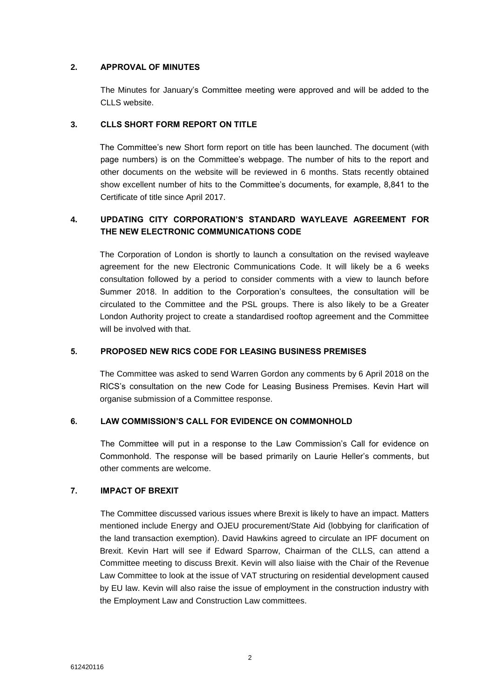## **2. APPROVAL OF MINUTES**

The Minutes for January's Committee meeting were approved and will be added to the CLLS website.

## **3. CLLS SHORT FORM REPORT ON TITLE**

The Committee's new Short form report on title has been launched. The document (with page numbers) is on the Committee's webpage. The number of hits to the report and other documents on the website will be reviewed in 6 months. Stats recently obtained show excellent number of hits to the Committee's documents, for example, 8,841 to the Certificate of title since April 2017.

# **4. UPDATING CITY CORPORATION'S STANDARD WAYLEAVE AGREEMENT FOR THE NEW ELECTRONIC COMMUNICATIONS CODE**

The Corporation of London is shortly to launch a consultation on the revised wayleave agreement for the new Electronic Communications Code. It will likely be a 6 weeks consultation followed by a period to consider comments with a view to launch before Summer 2018. In addition to the Corporation's consultees, the consultation will be circulated to the Committee and the PSL groups. There is also likely to be a Greater London Authority project to create a standardised rooftop agreement and the Committee will be involved with that.

## **5. PROPOSED NEW RICS CODE FOR LEASING BUSINESS PREMISES**

The Committee was asked to send Warren Gordon any comments by 6 April 2018 on the RICS's consultation on the new Code for Leasing Business Premises. Kevin Hart will organise submission of a Committee response.

## **6. LAW COMMISSION'S CALL FOR EVIDENCE ON COMMONHOLD**

The Committee will put in a response to the Law Commission's Call for evidence on Commonhold. The response will be based primarily on Laurie Heller's comments, but other comments are welcome.

### **7. IMPACT OF BREXIT**

The Committee discussed various issues where Brexit is likely to have an impact. Matters mentioned include Energy and OJEU procurement/State Aid (lobbying for clarification of the land transaction exemption). David Hawkins agreed to circulate an IPF document on Brexit. Kevin Hart will see if Edward Sparrow, Chairman of the CLLS, can attend a Committee meeting to discuss Brexit. Kevin will also liaise with the Chair of the Revenue Law Committee to look at the issue of VAT structuring on residential development caused by EU law. Kevin will also raise the issue of employment in the construction industry with the Employment Law and Construction Law committees.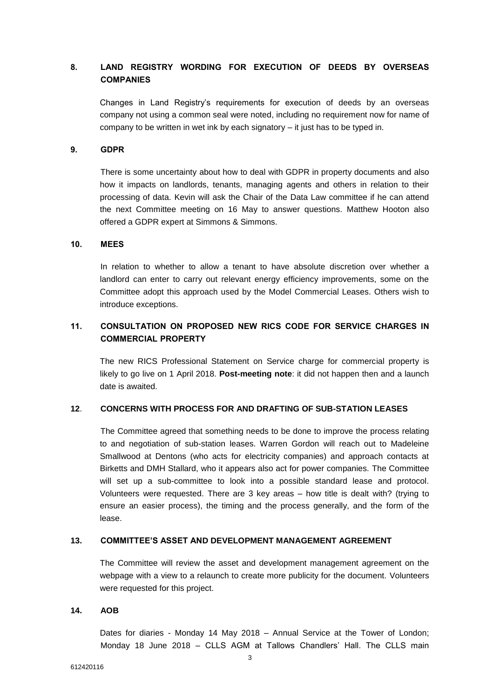# **8. LAND REGISTRY WORDING FOR EXECUTION OF DEEDS BY OVERSEAS COMPANIES**

Changes in Land Registry's requirements for execution of deeds by an overseas company not using a common seal were noted, including no requirement now for name of company to be written in wet ink by each signatory – it just has to be typed in.

### **9. GDPR**

There is some uncertainty about how to deal with GDPR in property documents and also how it impacts on landlords, tenants, managing agents and others in relation to their processing of data. Kevin will ask the Chair of the Data Law committee if he can attend the next Committee meeting on 16 May to answer questions. Matthew Hooton also offered a GDPR expert at Simmons & Simmons.

#### **10. MEES**

In relation to whether to allow a tenant to have absolute discretion over whether a landlord can enter to carry out relevant energy efficiency improvements, some on the Committee adopt this approach used by the Model Commercial Leases. Others wish to introduce exceptions.

# **11. CONSULTATION ON PROPOSED NEW RICS CODE FOR SERVICE CHARGES IN COMMERCIAL PROPERTY**

The new RICS Professional Statement on Service charge for commercial property is likely to go live on 1 April 2018. **Post-meeting note**: it did not happen then and a launch date is awaited.

## **12**. **CONCERNS WITH PROCESS FOR AND DRAFTING OF SUB-STATION LEASES**

The Committee agreed that something needs to be done to improve the process relating to and negotiation of sub-station leases. Warren Gordon will reach out to Madeleine Smallwood at Dentons (who acts for electricity companies) and approach contacts at Birketts and DMH Stallard, who it appears also act for power companies. The Committee will set up a sub-committee to look into a possible standard lease and protocol. Volunteers were requested. There are 3 key areas – how title is dealt with? (trying to ensure an easier process), the timing and the process generally, and the form of the lease.

### **13. COMMITTEE'S ASSET AND DEVELOPMENT MANAGEMENT AGREEMENT**

The Committee will review the asset and development management agreement on the webpage with a view to a relaunch to create more publicity for the document. Volunteers were requested for this project.

#### **14. AOB**

Dates for diaries - Monday 14 May 2018 – Annual Service at the Tower of London; Monday 18 June 2018 – CLLS AGM at Tallows Chandlers' Hall. The CLLS main